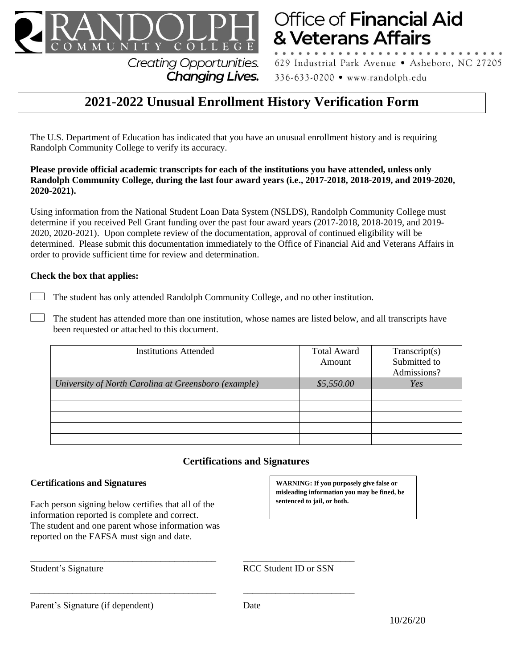

& Veterans Affairs **Creating Opportunities.** 

629 Industrial Park Avenue · Asheboro, NC 27205 336-633-0200 • www.randolph.edu

Office of Financial Aid

# **2021-2022 Unusual Enrollment History Verification Form**

The U.S. Department of Education has indicated that you have an unusual enrollment history and is requiring Randolph Community College to verify its accuracy.

**Changing Lives.** 

#### **Please provide official academic transcripts for each of the institutions you have attended, unless only Randolph Community College, during the last four award years (i.e., 2017-2018, 2018-2019, and 2019-2020, 2020-2021).**

Using information from the National Student Loan Data System (NSLDS), Randolph Community College must determine if you received Pell Grant funding over the past four award years (2017-2018, 2018-2019, and 2019- 2020, 2020-2021). Upon complete review of the documentation, approval of continued eligibility will be determined. Please submit this documentation immediately to the Office of Financial Aid and Veterans Affairs in order to provide sufficient time for review and determination.

#### **Check the box that applies:**

- The student has only attended Randolph Community College, and no other institution.
- The student has attended more than one institution, whose names are listed below, and all transcripts have been requested or attached to this document.

| <b>Institutions Attended</b>                         | <b>Total Award</b> | Transcript(s) |
|------------------------------------------------------|--------------------|---------------|
|                                                      | Amount             | Submitted to  |
|                                                      |                    | Admissions?   |
| University of North Carolina at Greensboro (example) | \$5,550.00         | Yes           |
|                                                      |                    |               |
|                                                      |                    |               |
|                                                      |                    |               |
|                                                      |                    |               |
|                                                      |                    |               |

# **Certifications and Signatures**

#### **Certifications and Signatures**

Each person signing below certifies that all of the information reported is complete and correct. The student and one parent whose information was reported on the FAFSA must sign and date.

**WARNING: If you purposely give false or misleading information you may be fined, be sentenced to jail, or both.**

\_\_\_\_\_\_\_\_\_\_\_\_\_\_\_\_\_\_\_\_\_\_\_\_\_\_\_\_\_\_\_\_\_\_\_\_\_\_\_\_ \_\_\_\_\_\_\_\_\_\_\_\_\_\_\_\_\_\_\_\_\_\_\_\_ RCC Student ID or SSN

Parent's Signature (if dependent) Date

\_\_\_\_\_\_\_\_\_\_\_\_\_\_\_\_\_\_\_\_\_\_\_\_\_\_\_\_\_\_\_\_\_\_\_\_\_\_\_\_ \_\_\_\_\_\_\_\_\_\_\_\_\_\_\_\_\_\_\_\_\_\_\_\_